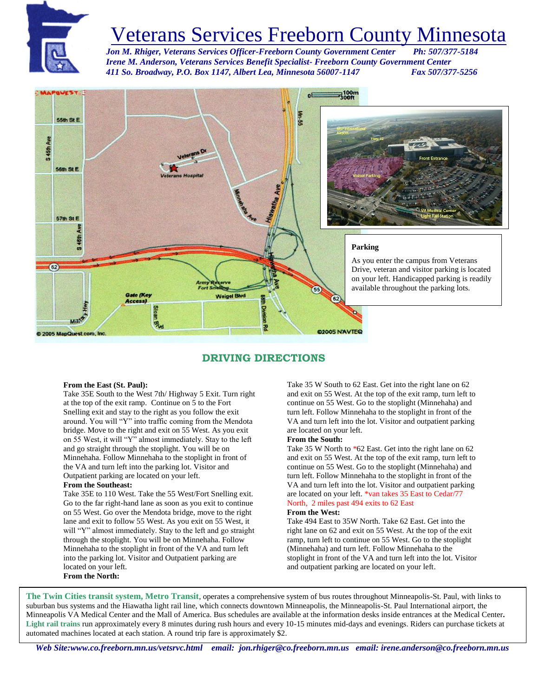

# Veterans Services Freeborn County Minnesota

Jon M. Rhiger, Veterans Services Officer-Freeborn County Government Center  *Irene M. Anderson, Veterans Services Benefit Specialist- Freeborn County Government Center 411 So. Broadway, P.O. Box 1147, Albert Lea, Minnesota 56007-1147 Fax 507/377-5256*



### **DRIVING DIRECTIONS**

#### **From the East (St. Paul):**

Take 35E South to the West 7th/ Highway 5 Exit. Turn right at the top of the exit ramp. Continue on 5 to the Fort Snelling exit and stay to the right as you follow the exit around. You will "Y" into traffic coming from the Mendota bridge. Move to the right and exit on 55 West. As you exit on 55 West, it will "Y" almost immediately. Stay to the left and go straight through the stoplight. You will be on Minnehaha. Follow Minnehaha to the stoplight in front of the VA and turn left into the parking lot. Visitor and Outpatient parking are located on your left.

#### **From the Southeast:**

Take 35E to 110 West. Take the 55 West/Fort Snelling exit. Go to the far right-hand lane as soon as you exit to continue on 55 West. Go over the Mendota bridge, move to the right lane and exit to follow 55 West. As you exit on 55 West, it will "Y" almost immediately. Stay to the left and go straight through the stoplight. You will be on Minnehaha. Follow Minnehaha to the stoplight in front of the VA and turn left into the parking lot. Visitor and Outpatient parking are located on your left. **From the North:**

Take 35 W South to 62 East. Get into the right lane on 62 and exit on 55 West. At the top of the exit ramp, turn left to continue on 55 West. Go to the stoplight (Minnehaha) and turn left. Follow Minnehaha to the stoplight in front of the VA and turn left into the lot. Visitor and outpatient parking are located on your left.

#### **From the South:**

Take 35 W North to \*62 East. Get into the right lane on 62 and exit on 55 West. At the top of the exit ramp, turn left to continue on 55 West. Go to the stoplight (Minnehaha) and turn left. Follow Minnehaha to the stoplight in front of the VA and turn left into the lot. Visitor and outpatient parking are located on your left. \*van takes 35 East to Cedar/77 North, 2 miles past 494 exits to 62 East

#### **From the West:**

Take 494 East to 35W North. Take 62 East. Get into the right lane on 62 and exit on 55 West. At the top of the exit ramp, turn left to continue on 55 West. Go to the stoplight (Minnehaha) and turn left. Follow Minnehaha to the stoplight in front of the VA and turn left into the lot. Visitor and outpatient parking are located on your left.

**The Twin Cities transit system, Metro Transit**, operates a comprehensive system of bus routes throughout Minneapolis-St. Paul, with links to suburban bus systems and the Hiawatha light rail line, which connects downtown Minneapolis, the Minneapolis-St. Paul International airport, the Minneapolis VA Medical Center and the Mall of America. Bus schedules are available at the information desks inside entrances at the Medical Center**. Light rail trains** run approximately every 8 minutes during rush hours and every 10-15 minutes mid-days and evenings. Riders can purchase tickets at automated machines located at each station. A round trip fare is approximately \$2.

*Web Site:www.co.freeborn.mn.us/vetsrvc.html email: jon.rhiger@co.freeborn.mn.us email: irene.anderson@co.freeborn.mn.us*